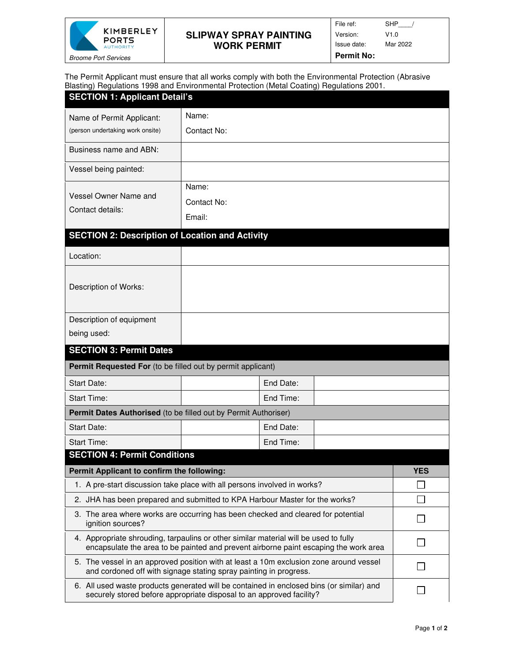

L

## **SLIPWAY SPRAY PAINTING WORK PERMIT**

| File ref:         | SHP      |
|-------------------|----------|
| Version:          | V1.0     |
| Issue date:       | Mar 2022 |
| <b>Permit No:</b> |          |

The Permit Applicant must ensure that all works comply with both the Environmental Protection (Abrasive Blasting) Regulations 1998 and Environmental Protection (Metal Coating) Regulations 2001.

| <b>SECTION 1: Applicant Detail's</b>                                                                                                                                         |             |                |  |  |
|------------------------------------------------------------------------------------------------------------------------------------------------------------------------------|-------------|----------------|--|--|
| Name of Permit Applicant:                                                                                                                                                    | Name:       |                |  |  |
| (person undertaking work onsite)                                                                                                                                             | Contact No: |                |  |  |
| Business name and ABN:                                                                                                                                                       |             |                |  |  |
| Vessel being painted:                                                                                                                                                        |             |                |  |  |
| Name:                                                                                                                                                                        |             |                |  |  |
| Vessel Owner Name and<br>Contact details:                                                                                                                                    | Contact No: |                |  |  |
|                                                                                                                                                                              | Email:      |                |  |  |
| <b>SECTION 2: Description of Location and Activity</b>                                                                                                                       |             |                |  |  |
| Location:                                                                                                                                                                    |             |                |  |  |
| Description of Works:                                                                                                                                                        |             |                |  |  |
|                                                                                                                                                                              |             |                |  |  |
| Description of equipment                                                                                                                                                     |             |                |  |  |
| being used:                                                                                                                                                                  |             |                |  |  |
| <b>SECTION 3: Permit Dates</b>                                                                                                                                               |             |                |  |  |
| Permit Requested For (to be filled out by permit applicant)                                                                                                                  |             |                |  |  |
| <b>Start Date:</b>                                                                                                                                                           |             | End Date:      |  |  |
| <b>Start Time:</b>                                                                                                                                                           |             | End Time:      |  |  |
| Permit Dates Authorised (to be filled out by Permit Authoriser)                                                                                                              |             |                |  |  |
| <b>Start Date:</b>                                                                                                                                                           |             | End Date:      |  |  |
| <b>Start Time:</b>                                                                                                                                                           |             | End Time:      |  |  |
| <b>SECTION 4: Permit Conditions</b>                                                                                                                                          |             |                |  |  |
| Permit Applicant to confirm the following:                                                                                                                                   |             | <b>YES</b>     |  |  |
| 1. A pre-start discussion take place with all persons involved in works?                                                                                                     |             |                |  |  |
| 2. JHA has been prepared and submitted to KPA Harbour Master for the works?                                                                                                  |             |                |  |  |
| 3. The area where works are occurring has been checked and cleared for potential<br>ignition sources?                                                                        |             |                |  |  |
| 4. Appropriate shrouding, tarpaulins or other similar material will be used to fully<br>encapsulate the area to be painted and prevent airborne paint escaping the work area |             | $\blacksquare$ |  |  |
| 5. The vessel in an approved position with at least a 10m exclusion zone around vessel<br>and cordoned off with signage stating spray painting in progress.                  |             |                |  |  |
| 6. All used waste products generated will be contained in enclosed bins (or similar) and<br>securely stored before appropriate disposal to an approved facility?             |             |                |  |  |